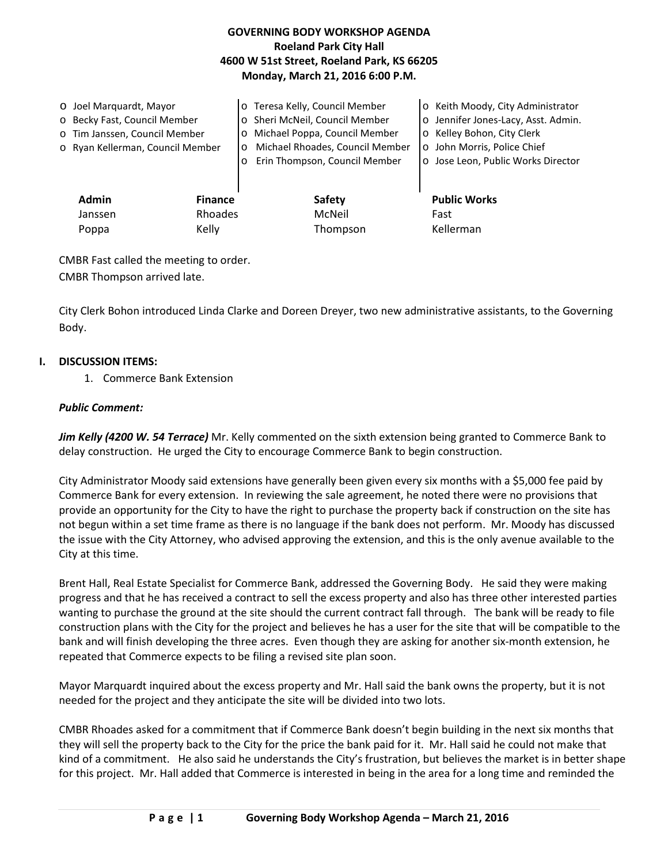## **GOVERNING BODY WORKSHOP AGENDA Roeland Park City Hall 4600 W 51st Street, Roeland Park, KS 66205 Monday, March 21, 2016 6:00 P.M.**

| O Joel Marquardt, Mayor<br>o Becky Fast, Council Member<br>o Tim Janssen, Council Member<br>o Ryan Kellerman, Council Member |                           | o Teresa Kelly, Council Member<br>o Sheri McNeil, Council Member<br>Michael Poppa, Council Member<br>$\circ$<br>Michael Rhoades, Council Member<br>$\circ$<br>Erin Thompson, Council Member<br>$\circ$ | o Keith Moody, City Administrator<br>o Jennifer Jones-Lacy, Asst. Admin.<br>o Kelley Bohon, City Clerk<br>o John Morris, Police Chief<br>o Jose Leon, Public Works Director |
|------------------------------------------------------------------------------------------------------------------------------|---------------------------|--------------------------------------------------------------------------------------------------------------------------------------------------------------------------------------------------------|-----------------------------------------------------------------------------------------------------------------------------------------------------------------------------|
| <b>Admin</b><br>Janssen                                                                                                      | <b>Finance</b><br>Rhoades | <b>Safety</b><br>McNeil                                                                                                                                                                                | <b>Public Works</b><br>Fast                                                                                                                                                 |
| Poppa                                                                                                                        | Kelly                     | Thompson                                                                                                                                                                                               | Kellerman                                                                                                                                                                   |

CMBR Fast called the meeting to order. CMBR Thompson arrived late.

City Clerk Bohon introduced Linda Clarke and Doreen Dreyer, two new administrative assistants, to the Governing Body.

#### **I. DISCUSSION ITEMS:**

1. Commerce Bank Extension

### *Public Comment:*

*Jim Kelly (4200 W. 54 Terrace)* Mr. Kelly commented on the sixth extension being granted to Commerce Bank to delay construction. He urged the City to encourage Commerce Bank to begin construction.

City Administrator Moody said extensions have generally been given every six months with a \$5,000 fee paid by Commerce Bank for every extension. In reviewing the sale agreement, he noted there were no provisions that provide an opportunity for the City to have the right to purchase the property back if construction on the site has not begun within a set time frame as there is no language if the bank does not perform. Mr. Moody has discussed the issue with the City Attorney, who advised approving the extension, and this is the only avenue available to the City at this time.

Brent Hall, Real Estate Specialist for Commerce Bank, addressed the Governing Body. He said they were making progress and that he has received a contract to sell the excess property and also has three other interested parties wanting to purchase the ground at the site should the current contract fall through. The bank will be ready to file construction plans with the City for the project and believes he has a user for the site that will be compatible to the bank and will finish developing the three acres. Even though they are asking for another six-month extension, he repeated that Commerce expects to be filing a revised site plan soon.

Mayor Marquardt inquired about the excess property and Mr. Hall said the bank owns the property, but it is not needed for the project and they anticipate the site will be divided into two lots.

CMBR Rhoades asked for a commitment that if Commerce Bank doesn't begin building in the next six months that they will sell the property back to the City for the price the bank paid for it. Mr. Hall said he could not make that kind of a commitment. He also said he understands the City's frustration, but believes the market is in better shape for this project. Mr. Hall added that Commerce is interested in being in the area for a long time and reminded the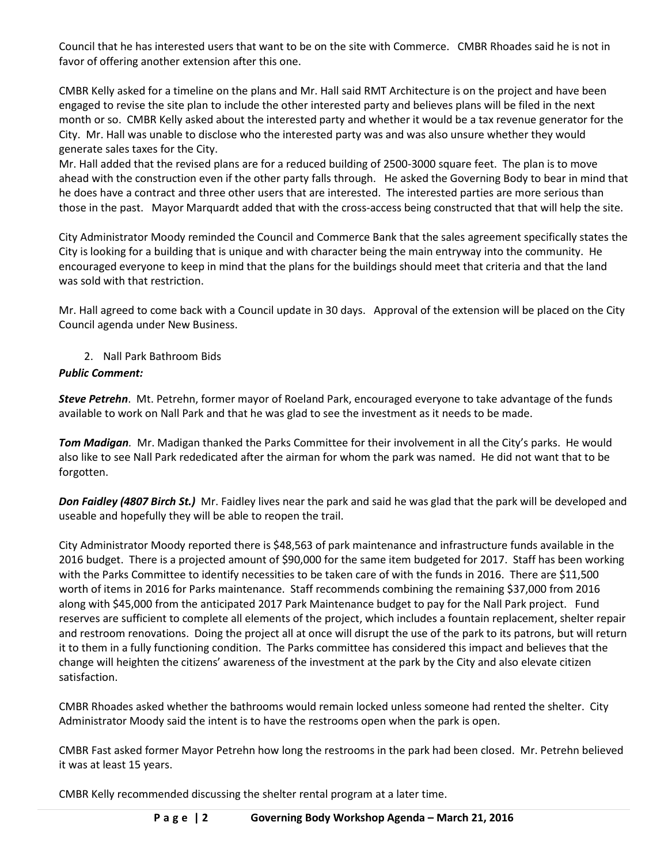Council that he has interested users that want to be on the site with Commerce. CMBR Rhoades said he is not in favor of offering another extension after this one.

CMBR Kelly asked for a timeline on the plans and Mr. Hall said RMT Architecture is on the project and have been engaged to revise the site plan to include the other interested party and believes plans will be filed in the next month or so. CMBR Kelly asked about the interested party and whether it would be a tax revenue generator for the City. Mr. Hall was unable to disclose who the interested party was and was also unsure whether they would generate sales taxes for the City.

Mr. Hall added that the revised plans are for a reduced building of 2500-3000 square feet. The plan is to move ahead with the construction even if the other party falls through. He asked the Governing Body to bear in mind that he does have a contract and three other users that are interested. The interested parties are more serious than those in the past. Mayor Marquardt added that with the cross-access being constructed that that will help the site.

City Administrator Moody reminded the Council and Commerce Bank that the sales agreement specifically states the City is looking for a building that is unique and with character being the main entryway into the community. He encouraged everyone to keep in mind that the plans for the buildings should meet that criteria and that the land was sold with that restriction.

Mr. Hall agreed to come back with a Council update in 30 days. Approval of the extension will be placed on the City Council agenda under New Business.

2. Nall Park Bathroom Bids

# *Public Comment:*

*Steve Petrehn*. Mt. Petrehn, former mayor of Roeland Park, encouraged everyone to take advantage of the funds available to work on Nall Park and that he was glad to see the investment as it needs to be made.

*Tom Madigan.* Mr. Madigan thanked the Parks Committee for their involvement in all the City's parks. He would also like to see Nall Park rededicated after the airman for whom the park was named. He did not want that to be forgotten.

*Don Faidley (4807 Birch St.)* Mr. Faidley lives near the park and said he was glad that the park will be developed and useable and hopefully they will be able to reopen the trail.

City Administrator Moody reported there is \$48,563 of park maintenance and infrastructure funds available in the 2016 budget. There is a projected amount of \$90,000 for the same item budgeted for 2017. Staff has been working with the Parks Committee to identify necessities to be taken care of with the funds in 2016. There are \$11,500 worth of items in 2016 for Parks maintenance. Staff recommends combining the remaining \$37,000 from 2016 along with \$45,000 from the anticipated 2017 Park Maintenance budget to pay for the Nall Park project. Fund reserves are sufficient to complete all elements of the project, which includes a fountain replacement, shelter repair and restroom renovations. Doing the project all at once will disrupt the use of the park to its patrons, but will return it to them in a fully functioning condition. The Parks committee has considered this impact and believes that the change will heighten the citizens' awareness of the investment at the park by the City and also elevate citizen satisfaction.

CMBR Rhoades asked whether the bathrooms would remain locked unless someone had rented the shelter. City Administrator Moody said the intent is to have the restrooms open when the park is open.

CMBR Fast asked former Mayor Petrehn how long the restrooms in the park had been closed. Mr. Petrehn believed it was at least 15 years.

CMBR Kelly recommended discussing the shelter rental program at a later time.